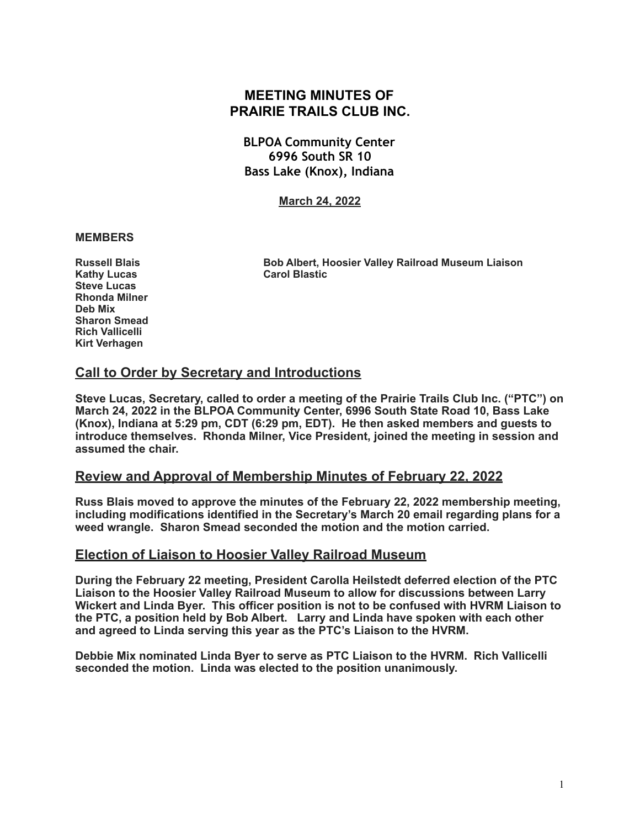# **MEETING MINUTES OF PRAIRIE TRAILS CLUB INC.**

**BLPOA Community Center 6996 South SR 10 Bass Lake (Knox), Indiana**

**March 24, 2022**

#### **MEMBERS**

**Kathy Lucas** Carol Blastic **Steve Lucas Rhonda Milner Deb Mix Sharon Smead Rich Vallicelli Kirt Verhagen** 

**Russell Blais Bob Albert, Hoosier Valley Railroad Museum Liaison** 

# **Call to Order by Secretary and Introductions**

**Steve Lucas, Secretary, called to order a meeting of the Prairie Trails Club Inc. ("PTC") on March 24, 2022 in the BLPOA Community Center, 6996 South State Road 10, Bass Lake (Knox), Indiana at 5:29 pm, CDT (6:29 pm, EDT). He then asked members and guests to introduce themselves. Rhonda Milner, Vice President, joined the meeting in session and assumed the chair.** 

# **Review and Approval of Membership Minutes of February 22, 2022**

**Russ Blais moved to approve the minutes of the February 22, 2022 membership meeting, including modifications identified in the Secretary's March 20 email regarding plans for a weed wrangle. Sharon Smead seconded the motion and the motion carried.** 

# **Election of Liaison to Hoosier Valley Railroad Museum**

**During the February 22 meeting, President Carolla Heilstedt deferred election of the PTC Liaison to the Hoosier Valley Railroad Museum to allow for discussions between Larry Wickert and Linda Byer. This officer position is not to be confused with HVRM Liaison to the PTC, a position held by Bob Albert. Larry and Linda have spoken with each other and agreed to Linda serving this year as the PTC's Liaison to the HVRM.** 

**Debbie Mix nominated Linda Byer to serve as PTC Liaison to the HVRM. Rich Vallicelli seconded the motion. Linda was elected to the position unanimously.**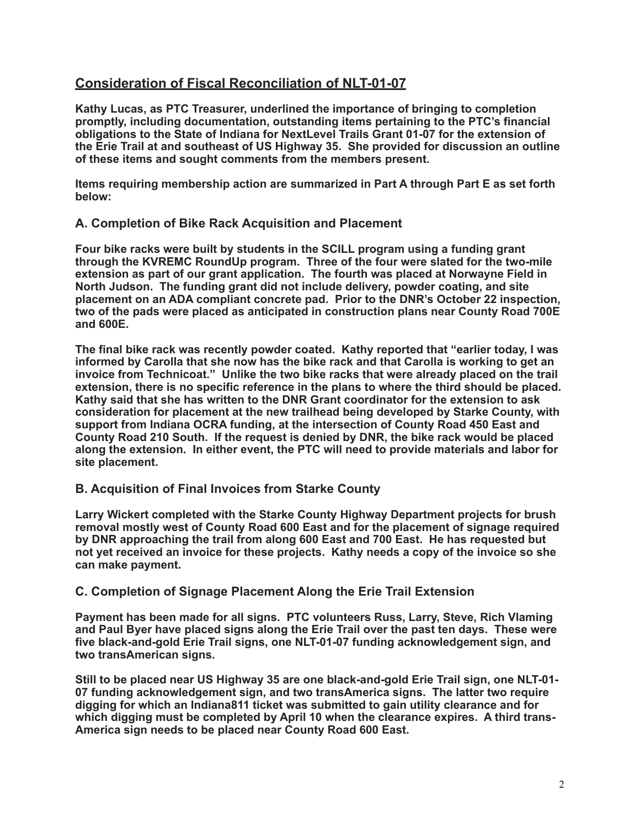# **Consideration of Fiscal Reconciliation of NLT-01-07**

**Kathy Lucas, as PTC Treasurer, underlined the importance of bringing to completion promptly, including documentation, outstanding items pertaining to the PTC's financial obligations to the State of Indiana for NextLevel Trails Grant 01-07 for the extension of the Erie Trail at and southeast of US Highway 35. She provided for discussion an outline of these items and sought comments from the members present.** 

**Items requiring membership action are summarized in Part A through Part E as set forth below:** 

#### **A. Completion of Bike Rack Acquisition and Placement**

**Four bike racks were built by students in the SCILL program using a funding grant through the KVREMC RoundUp program. Three of the four were slated for the two-mile extension as part of our grant application. The fourth was placed at Norwayne Field in North Judson. The funding grant did not include delivery, powder coating, and site placement on an ADA compliant concrete pad. Prior to the DNR's October 22 inspection, two of the pads were placed as anticipated in construction plans near County Road 700E and 600E.** 

**The final bike rack was recently powder coated. Kathy reported that "earlier today, I was informed by Carolla that she now has the bike rack and that Carolla is working to get an invoice from Technicoat." Unlike the two bike racks that were already placed on the trail extension, there is no specific reference in the plans to where the third should be placed. Kathy said that she has written to the DNR Grant coordinator for the extension to ask consideration for placement at the new trailhead being developed by Starke County, with support from Indiana OCRA funding, at the intersection of County Road 450 East and County Road 210 South. If the request is denied by DNR, the bike rack would be placed along the extension. In either event, the PTC will need to provide materials and labor for site placement.** 

#### **B. Acquisition of Final Invoices from Starke County**

**Larry Wickert completed with the Starke County Highway Department projects for brush removal mostly west of County Road 600 East and for the placement of signage required by DNR approaching the trail from along 600 East and 700 East. He has requested but not yet received an invoice for these projects. Kathy needs a copy of the invoice so she can make payment.** 

#### **C. Completion of Signage Placement Along the Erie Trail Extension**

**Payment has been made for all signs. PTC volunteers Russ, Larry, Steve, Rich Vlaming and Paul Byer have placed signs along the Erie Trail over the past ten days. These were five black-and-gold Erie Trail signs, one NLT-01-07 funding acknowledgement sign, and two transAmerican signs.** 

**Still to be placed near US Highway 35 are one black-and-gold Erie Trail sign, one NLT-01- 07 funding acknowledgement sign, and two transAmerica signs. The latter two require digging for which an Indiana811 ticket was submitted to gain utility clearance and for**  which digging must be completed by April 10 when the clearance expires. A third trans-**America sign needs to be placed near County Road 600 East.**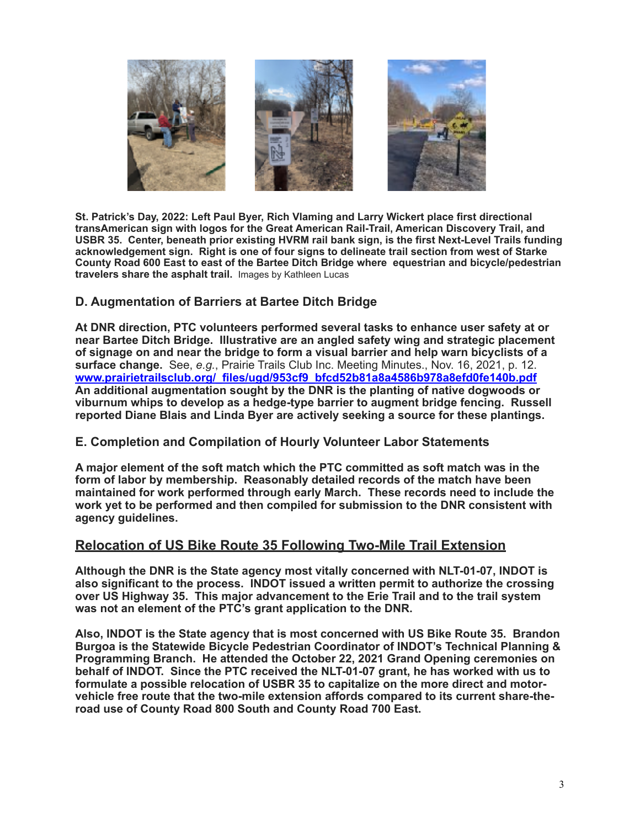

**St. Patrick's Day, 2022: Left Paul Byer, Rich Vlaming and Larry Wickert place first directional transAmerican sign with logos for the Great American Rail-Trail, American Discovery Trail, and USBR 35. Center, beneath prior existing HVRM rail bank sign, is the first Next-Level Trails funding acknowledgement sign. Right is one of four signs to delineate trail section from west of Starke County Road 600 East to east of the Bartee Ditch Bridge where equestrian and bicycle/pedestrian travelers share the asphalt trail.** Images by Kathleen Lucas

# **D. Augmentation of Barriers at Bartee Ditch Bridge**

**At DNR direction, PTC volunteers performed several tasks to enhance user safety at or near Bartee Ditch Bridge. Illustrative are an angled safety wing and strategic placement of signage on and near the bridge to form a visual barrier and help warn bicyclists of a surface change.** See, *e.g.*, Prairie Trails Club Inc. Meeting Minutes., Nov. 16, 2021, p. 12. **[www.prairietrailsclub.org/\\_files/ugd/953cf9\\_bfcd52b81a8a4586b978a8efd0fe140b.pdf](http://www.prairietrailsclub.org/_files/ugd/953cf9_bfcd52b81a8a4586b978a8efd0fe140b.pdf) An additional augmentation sought by the DNR is the planting of native dogwoods or viburnum whips to develop as a hedge-type barrier to augment bridge fencing. Russell reported Diane Blais and Linda Byer are actively seeking a source for these plantings.** 

# **E. Completion and Compilation of Hourly Volunteer Labor Statements**

**A major element of the soft match which the PTC committed as soft match was in the form of labor by membership. Reasonably detailed records of the match have been maintained for work performed through early March. These records need to include the work yet to be performed and then compiled for submission to the DNR consistent with agency guidelines.** 

# **Relocation of US Bike Route 35 Following Two-Mile Trail Extension**

**Although the DNR is the State agency most vitally concerned with NLT-01-07, INDOT is also significant to the process. INDOT issued a written permit to authorize the crossing over US Highway 35. This major advancement to the Erie Trail and to the trail system was not an element of the PTC's grant application to the DNR.** 

**Also, INDOT is the State agency that is most concerned with US Bike Route 35. Brandon Burgoa is the Statewide Bicycle Pedestrian Coordinator of INDOT's Technical Planning & Programming Branch. He attended the October 22, 2021 Grand Opening ceremonies on behalf of INDOT. Since the PTC received the NLT-01-07 grant, he has worked with us to formulate a possible relocation of USBR 35 to capitalize on the more direct and motorvehicle free route that the two-mile extension affords compared to its current share-theroad use of County Road 800 South and County Road 700 East.**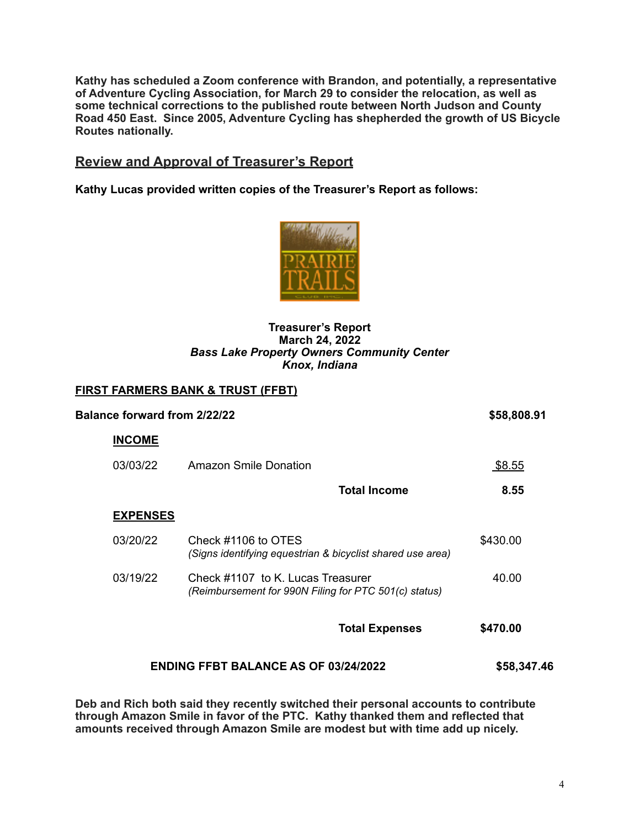**Kathy has scheduled a Zoom conference with Brandon, and potentially, a representative of Adventure Cycling Association, for March 29 to consider the relocation, as well as some technical corrections to the published route between North Judson and County Road 450 East. Since 2005, Adventure Cycling has shepherded the growth of US Bicycle Routes nationally.** 

# **Review and Approval of Treasurer's Report**

**Kathy Lucas provided written copies of the Treasurer's Report as follows:** 



#### **Treasurer's Report March 24, 2022**  *Bass Lake Property Owners Community Center Knox, Indiana*

### **FIRST FARMERS BANK & TRUST (FFBT)**

| <b>Balance forward from 2/22/22</b>         |                                                                                            | \$58,808.91 |  |
|---------------------------------------------|--------------------------------------------------------------------------------------------|-------------|--|
| <b>INCOME</b>                               |                                                                                            |             |  |
| 03/03/22                                    | Amazon Smile Donation                                                                      | \$8.55      |  |
|                                             | <b>Total Income</b>                                                                        | 8.55        |  |
| <b>EXPENSES</b>                             |                                                                                            |             |  |
| 03/20/22                                    | Check #1106 to OTES<br>(Signs identifying equestrian & bicyclist shared use area)          | \$430.00    |  |
| 03/19/22                                    | Check #1107 to K. Lucas Treasurer<br>(Reimbursement for 990N Filing for PTC 501(c) status) | 40.00       |  |
|                                             | <b>Total Expenses</b>                                                                      | \$470.00    |  |
| <b>ENDING FFBT BALANCE AS OF 03/24/2022</b> |                                                                                            | \$58,347.46 |  |

**Deb and Rich both said they recently switched their personal accounts to contribute through Amazon Smile in favor of the PTC. Kathy thanked them and reflected that amounts received through Amazon Smile are modest but with time add up nicely.**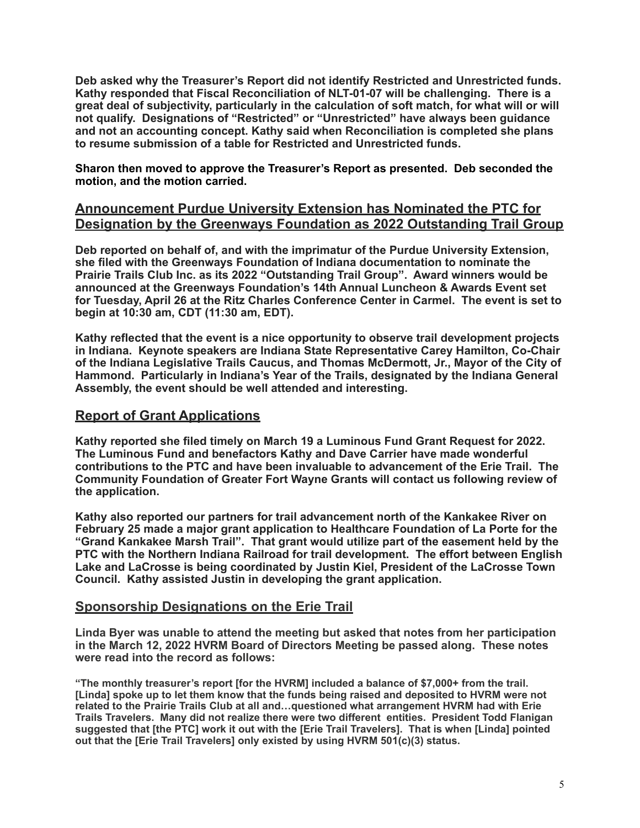**Deb asked why the Treasurer's Report did not identify Restricted and Unrestricted funds. Kathy responded that Fiscal Reconciliation of NLT-01-07 will be challenging. There is a great deal of subjectivity, particularly in the calculation of soft match, for what will or will not qualify. Designations of "Restricted" or "Unrestricted" have always been guidance and not an accounting concept. Kathy said when Reconciliation is completed she plans to resume submission of a table for Restricted and Unrestricted funds.** 

**Sharon then moved to approve the Treasurer's Report as presented. Deb seconded the motion, and the motion carried.** 

### **Announcement Purdue University Extension has Nominated the PTC for Designation by the Greenways Foundation as 2022 Outstanding Trail Group**

**Deb reported on behalf of, and with the imprimatur of the Purdue University Extension, she filed with the Greenways Foundation of Indiana documentation to nominate the Prairie Trails Club Inc. as its 2022 "Outstanding Trail Group". Award winners would be announced at the Greenways Foundation's 14th Annual Luncheon & Awards Event set for Tuesday, April 26 at the Ritz Charles Conference Center in Carmel. The event is set to begin at 10:30 am, CDT (11:30 am, EDT).** 

**Kathy reflected that the event is a nice opportunity to observe trail development projects in Indiana. Keynote speakers are Indiana State Representative Carey Hamilton, Co-Chair of the Indiana Legislative Trails Caucus, and Thomas McDermott, Jr., Mayor of the City of Hammond. Particularly in Indiana's Year of the Trails, designated by the Indiana General Assembly, the event should be well attended and interesting.** 

# **Report of Grant Applications**

**Kathy reported she filed timely on March 19 a Luminous Fund Grant Request for 2022. The Luminous Fund and benefactors Kathy and Dave Carrier have made wonderful contributions to the PTC and have been invaluable to advancement of the Erie Trail. The Community Foundation of Greater Fort Wayne Grants will contact us following review of the application.** 

**Kathy also reported our partners for trail advancement north of the Kankakee River on February 25 made a major grant application to Healthcare Foundation of La Porte for the "Grand Kankakee Marsh Trail". That grant would utilize part of the easement held by the PTC with the Northern Indiana Railroad for trail development. The effort between English Lake and LaCrosse is being coordinated by Justin Kiel, President of the LaCrosse Town Council. Kathy assisted Justin in developing the grant application.** 

# **Sponsorship Designations on the Erie Trail**

**Linda Byer was unable to attend the meeting but asked that notes from her participation in the March 12, 2022 HVRM Board of Directors Meeting be passed along. These notes were read into the record as follows:** 

**"The monthly treasurer's report [for the HVRM] included a balance of \$7,000+ from the trail. [Linda] spoke up to let them know that the funds being raised and deposited to HVRM were not related to the Prairie Trails Club at all and…questioned what arrangement HVRM had with Erie Trails Travelers. Many did not realize there were two different entities. President Todd Flanigan suggested that [the PTC] work it out with the [Erie Trail Travelers]. That is when [Linda] pointed out that the [Erie Trail Travelers] only existed by using HVRM 501(c)(3) status.**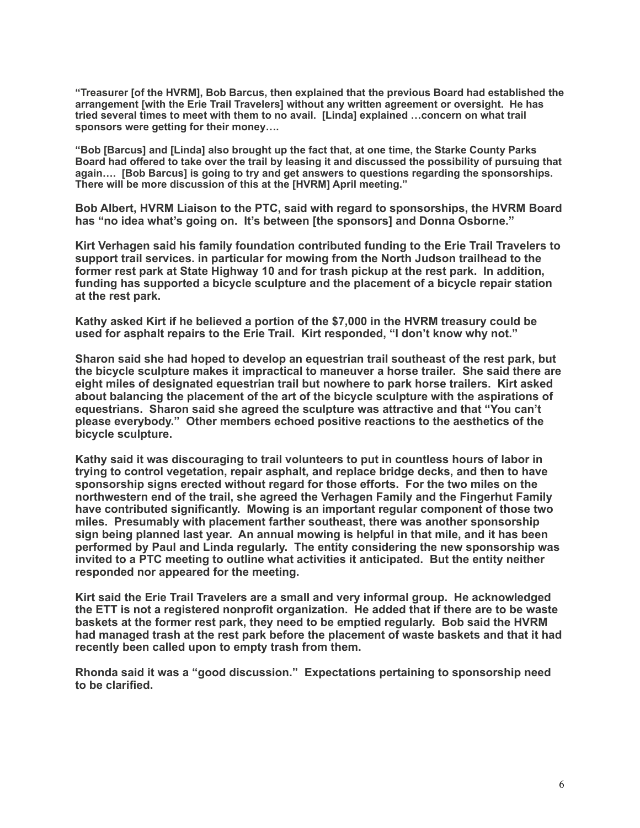**"Treasurer [of the HVRM], Bob Barcus, then explained that the previous Board had established the arrangement [with the Erie Trail Travelers] without any written agreement or oversight. He has tried several times to meet with them to no avail. [Linda] explained …concern on what trail sponsors were getting for their money….** 

**"Bob [Barcus] and [Linda] also brought up the fact that, at one time, the Starke County Parks Board had offered to take over the trail by leasing it and discussed the possibility of pursuing that again…. [Bob Barcus] is going to try and get answers to questions regarding the sponsorships. There will be more discussion of this at the [HVRM] April meeting."** 

**Bob Albert, HVRM Liaison to the PTC, said with regard to sponsorships, the HVRM Board has "no idea what's going on. It's between [the sponsors] and Donna Osborne."** 

**Kirt Verhagen said his family foundation contributed funding to the Erie Trail Travelers to support trail services. in particular for mowing from the North Judson trailhead to the former rest park at State Highway 10 and for trash pickup at the rest park. In addition, funding has supported a bicycle sculpture and the placement of a bicycle repair station at the rest park.** 

**Kathy asked Kirt if he believed a portion of the \$7,000 in the HVRM treasury could be used for asphalt repairs to the Erie Trail. Kirt responded, "I don't know why not."** 

**Sharon said she had hoped to develop an equestrian trail southeast of the rest park, but the bicycle sculpture makes it impractical to maneuver a horse trailer. She said there are eight miles of designated equestrian trail but nowhere to park horse trailers. Kirt asked about balancing the placement of the art of the bicycle sculpture with the aspirations of equestrians. Sharon said she agreed the sculpture was attractive and that "You can't please everybody." Other members echoed positive reactions to the aesthetics of the bicycle sculpture.** 

**Kathy said it was discouraging to trail volunteers to put in countless hours of labor in trying to control vegetation, repair asphalt, and replace bridge decks, and then to have sponsorship signs erected without regard for those efforts. For the two miles on the northwestern end of the trail, she agreed the Verhagen Family and the Fingerhut Family have contributed significantly. Mowing is an important regular component of those two miles. Presumably with placement farther southeast, there was another sponsorship sign being planned last year. An annual mowing is helpful in that mile, and it has been performed by Paul and Linda regularly. The entity considering the new sponsorship was invited to a PTC meeting to outline what activities it anticipated. But the entity neither responded nor appeared for the meeting.** 

**Kirt said the Erie Trail Travelers are a small and very informal group. He acknowledged the ETT is not a registered nonprofit organization. He added that if there are to be waste baskets at the former rest park, they need to be emptied regularly. Bob said the HVRM had managed trash at the rest park before the placement of waste baskets and that it had recently been called upon to empty trash from them.** 

**Rhonda said it was a "good discussion." Expectations pertaining to sponsorship need to be clarified.**